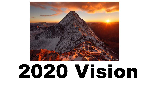

# 2020 Vision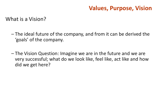What is a Vision?

- The ideal future of the company, and from it can be derived the 'goals' of the company.
- The Vision Question: Imagine we are in the future and we are very successful; what do we look like, feel like, act like and how did we get here?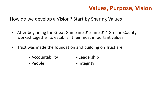How do we develop a Vision? Start by Sharing Values

- After beginning the Great Game in 2012, in 2014 Greene County worked together to establish their most important values.
- Trust was made the foundation and building on Trust are
	- Accountability Leadership
	- People The People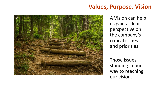

A Vision can help us gain a clear perspective on the company's critical issues and priorities.

Those issues standing in our way to reaching our vision.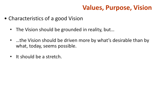- Characteristics of a good Vision
	- The Vision should be grounded in reality, but...
	- …the Vision should be driven more by what's desirable than by what, today, seems possible.
	- It should be a stretch.